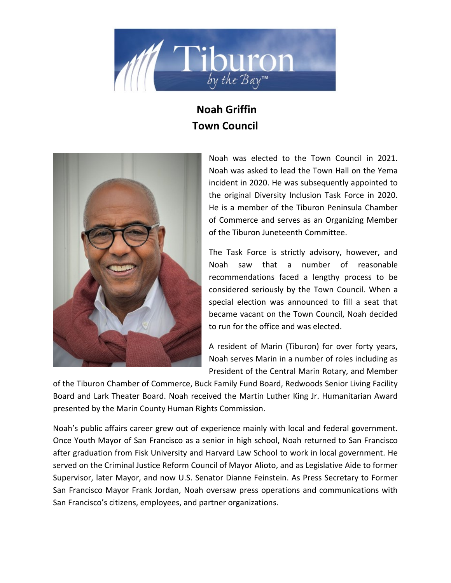

## **Noah Griffin Town Council**



Noah was elected to the Town Council in 2021. Noah was asked to lead the Town Hall on the Yema incident in 2020. He was subsequently appointed to the original Diversity Inclusion Task Force in 2020. He is a member of the Tiburon Peninsula Chamber of Commerce and serves as an Organizing Member of the Tiburon Juneteenth Committee.

The Task Force is strictly advisory, however, and Noah saw that a number of reasonable recommendations faced a lengthy process to be considered seriously by the Town Council. When a special election was announced to fill a seat that became vacant on the Town Council, Noah decided to run for the office and was elected.

A resident of Marin (Tiburon) for over forty years, Noah serves Marin in a number of roles including as President of the Central Marin Rotary, and Member

of the Tiburon Chamber of Commerce, Buck Family Fund Board, Redwoods Senior Living Facility Board and Lark Theater Board. Noah received the Martin Luther King Jr. Humanitarian Award presented by the Marin County Human Rights Commission.

Noah's public affairs career grew out of experience mainly with local and federal government. Once Youth Mayor of San Francisco as a senior in high school, Noah returned to San Francisco after graduation from Fisk University and Harvard Law School to work in local government. He served on the Criminal Justice Reform Council of Mayor Alioto, and as Legislative Aide to former Supervisor, later Mayor, and now U.S. Senator Dianne Feinstein. As Press Secretary to Former San Francisco Mayor Frank Jordan, Noah oversaw press operations and communications with San Francisco's citizens, employees, and partner organizations.